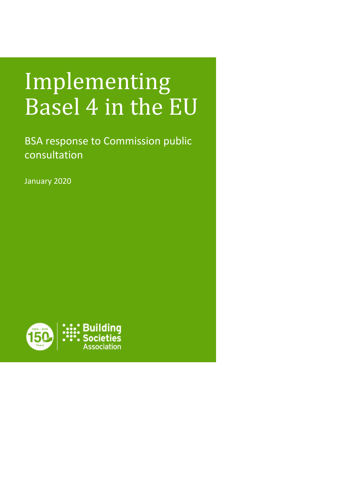# Implementing Basel 4 in the EU

BSA response to Commission public consultation

January 2020

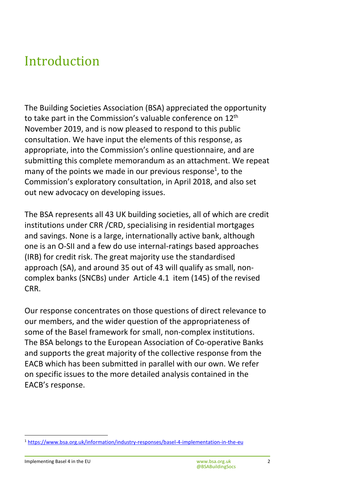### Introduction

The Building Societies Association (BSA) appreciated the opportunity to take part in the Commission's valuable conference on 12<sup>th</sup> November 2019, and is now pleased to respond to this public consultation. We have input the elements of this response, as appropriate, into the Commission's online questionnaire, and are submitting this complete memorandum as an attachment. We repeat many of the points we made in our previous response<sup>1</sup>, to the Commission's exploratory consultation, in April 2018, and also set out new advocacy on developing issues.

The BSA represents all 43 UK building societies, all of which are credit institutions under CRR /CRD, specialising in residential mortgages and savings. None is a large, internationally active bank, although one is an O-SII and a few do use internal-ratings based approaches (IRB) for credit risk. The great majority use the standardised approach (SA), and around 35 out of 43 will qualify as small, noncomplex banks (SNCBs) under Article 4.1 item (145) of the revised CRR.

Our response concentrates on those questions of direct relevance to our members, and the wider question of the appropriateness of some of the Basel framework for small, non-complex institutions. The BSA belongs to the European Association of Co-operative Banks and supports the great majority of the collective response from the EACB which has been submitted in parallel with our own. We refer on specific issues to the more detailed analysis contained in the EACB's response.

 $\overline{a}$ 

<sup>1</sup> <https://www.bsa.org.uk/information/industry-responses/basel-4-implementation-in-the-eu>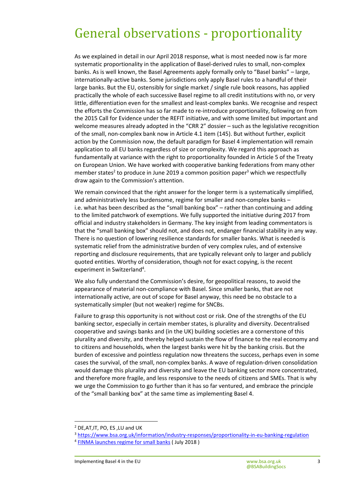### General observations - proportionality

As we explained in detail in our April 2018 response, what is most needed now is far more systematic proportionality in the application of Basel-derived rules to small, non-complex banks. As is well known, the Basel Agreements apply formally only to "Basel banks" – large, internationally-active banks. Some jurisdictions only apply Basel rules to a handful of their large banks. But the EU, ostensibly for single market / single rule book reasons, has applied practically the whole of each successive Basel regime to all credit institutions with no, or very little, differentiation even for the smallest and least-complex banks. We recognise and respect the efforts the Commission has so far made to re-introduce proportionality, following on from the 2015 Call for Evidence under the REFIT initiative, and with some limited but important and welcome measures already adopted in the "CRR 2" dossier – such as the legislative recognition of the small, non-complex bank now in Article 4.1 item (145). But without further, explicit action by the Commission now, the default paradigm for Basel 4 implementation will remain application to all EU banks regardless of size or complexity. We regard this approach as fundamentally at variance with the right to proportionality founded in Article 5 of the Treaty on European Union. We have worked with cooperative banking federations from many other member states<sup>2</sup> to produce in June 2019 a common position paper<sup>3</sup> which we respectfully draw again to the Commission's attention.

We remain convinced that the right answer for the longer term is a systematically simplified, and administratively less burdensome, regime for smaller and non-complex banks – i.e. what has been described as the "small banking box" – rather than continuing and adding to the limited patchwork of exemptions. We fully supported the initiative during 2017 from official and industry stakeholders in Germany. The key insight from leading commentators is that the "small banking box" should not, and does not, endanger financial stability in any way. There is no question of lowering resilience standards for smaller banks. What is needed is systematic relief from the administrative burden of very complex rules, and of extensive reporting and disclosure requirements, that are typically relevant only to larger and publicly quoted entities. Worthy of consideration, though not for exact copying, is the recent experiment in Switzerland<sup>4</sup>.

We also fully understand the Commission's desire, for geopolitical reasons, to avoid the appearance of material non-compliance with Basel. Since smaller banks, that are not internationally active, are out of scope for Basel anyway, this need be no obstacle to a systematically simpler (but not weaker) regime for SNCBs.

Failure to grasp this opportunity is not without cost or risk. One of the strengths of the EU banking sector, especially in certain member states, is plurality and diversity. Decentralised cooperative and savings banks and (in the UK) building societies are a cornerstone of this plurality and diversity, and thereby helped sustain the flow of finance to the real economy and to citizens and households, when the largest banks were hit by the banking crisis. But the burden of excessive and pointless regulation now threatens the success, perhaps even in some cases the survival, of the small, non-complex banks. A wave of regulation-driven consolidation would damage this plurality and diversity and leave the EU banking sector more concentrated, and therefore more fragile, and less responsive to the needs of citizens and SMEs. That is why we urge the Commission to go further than it has so far ventured, and embrace the principle of the "small banking box" at the same time as implementing Basel 4.

 $\overline{\phantom{a}}$ 

<sup>2</sup> DE,AT,IT, PO, ES ,LU and UK

<sup>3</sup> <https://www.bsa.org.uk/information/industry-responses/proportionality-in-eu-banking-regulation>

<sup>&</sup>lt;sup>4</sup> [FINMA launches regime for small banks](https://www.finma.ch/en/news/2018/07/20180713-mm-kleinbanken-pruefwesen/) ( July 2018 )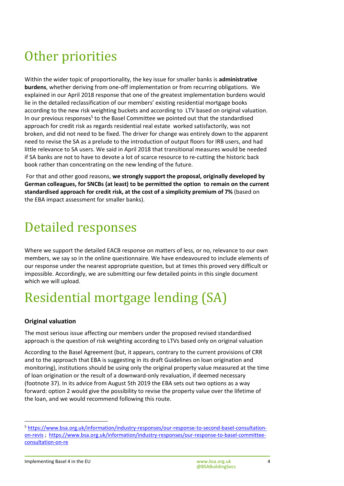## Other priorities

Within the wider topic of proportionality, the key issue for smaller banks is **administrative burdens**, whether deriving from one-off implementation or from recurring obligations. We explained in our April 2018 response that one of the greatest implementation burdens would lie in the detailed reclassification of our members' existing residential mortgage books according to the new risk weighting buckets and according to LTV based on original valuation. In our previous responses<sup>5</sup> to the Basel Committee we pointed out that the standardised approach for credit risk as regards residential real estate worked satisfactorily, was not broken, and did not need to be fixed. The driver for change was entirely down to the apparent need to revise the SA as a prelude to the introduction of output floors for IRB users, and had little relevance to SA users. We said in April 2018 that transitional measures would be needed if SA banks are not to have to devote a lot of scarce resource to re-cutting the historic back book rather than concentrating on the new lending of the future.

 For that and other good reasons, **we strongly support the proposal, originally developed by German colleagues, for SNCBs (at least) to be permitted the option to remain on the current standardised approach for credit risk, at the cost of a simplicity premium of 7%** (based on the EBA impact assessment for smaller banks).

### Detailed responses

Where we support the detailed EACB response on matters of less, or no, relevance to our own members, we say so in the online questionnaire. We have endeavoured to include elements of our response under the nearest appropriate question, but at times this proved very difficult or impossible. Accordingly, we are submitting our few detailed points in this single document which we will upload.

# Residential mortgage lending (SA)

#### **Original valuation**

The most serious issue affecting our members under the proposed revised standardised approach is the question of risk weighting according to LTVs based only on original valuation

According to the Basel Agreement (but, it appears, contrary to the current provisions of CRR and to the approach that EBA is suggesting in its draft Guidelines on loan origination and monitoring), institutions should be using only the original property value measured at the time of loan origination or the result of a downward-only revaluation, if deemed necessary (footnote 37). In its advice from August 5th 2019 the EBA sets out two options as a way forward: option 2 would give the possibility to revise the property value over the lifetime of the loan, and we would recommend following this route.

 $\overline{a}$ 

<sup>5</sup> [https://www.bsa.org.uk/information/industry-responses/our-response-to-second-basel-consultation](https://www.bsa.org.uk/information/industry-responses/our-response-to-second-basel-consultation-on-revis)[on-revis ;](https://www.bsa.org.uk/information/industry-responses/our-response-to-second-basel-consultation-on-revis) [https://www.bsa.org.uk/information/industry-responses/our-response-to-basel-committee](https://www.bsa.org.uk/information/industry-responses/our-response-to-basel-committee-consultation-on-re)[consultation-on-re](https://www.bsa.org.uk/information/industry-responses/our-response-to-basel-committee-consultation-on-re)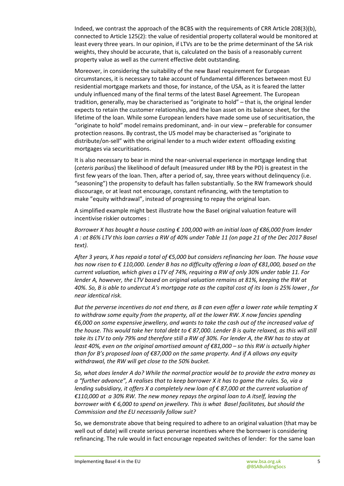Indeed, we contrast the approach of the BCBS with the requirements of CRR Article 208(3)(b), connected to Article 125(2): the value of residential property collateral would be monitored at least every three years. In our opinion, if LTVs are to be the prime determinant of the SA risk weights, they should be accurate, that is, calculated on the basis of a reasonably current property value as well as the current effective debt outstanding.

Moreover, in considering the suitability of the new Basel requirement for European circumstances, it is necessary to take account of fundamental differences between most EU residential mortgage markets and those, for instance, of the USA, as it is feared the latter unduly influenced many of the final terms of the latest Basel Agreement. The European tradition, generally, may be characterised as "originate to hold" – that is, the original lender expects to retain the customer relationship, and the loan asset on its balance sheet, for the lifetime of the loan. While some European lenders have made some use of securitisation, the "originate to hold" model remains predominant, and- in our view – preferable for consumer protection reasons. By contrast, the US model may be characterised as "originate to distribute/on-sell" with the original lender to a much wider extent offloading existing mortgages via securitisations.

It is also necessary to bear in mind the near-universal experience in mortgage lending that (*ceteris paribus*) the likelihood of default (measured under IRB by the PD) is greatest in the first few years of the loan. Then, after a period of, say, three years without delinquency (i.e. "seasoning") the propensity to default has fallen substantially. So the RW framework should discourage, or at least not encourage, constant refinancing, with the temptation to make "equity withdrawal", instead of progressing to repay the original loan.

A simplified example might best illustrate how the Basel original valuation feature will incentivise riskier outcomes :

*Borrower X has bought a house costing € 100,000 with an initial loan of €86,000 from lender A : at 86% LTV this loan carries a RW of 40% under Table 11 (on page 21 of the Dec 2017 Basel text).* 

*After 3 years, X has repaid a total of €5,000 but considers refinancing her loan. The house vaue has now risen to € 110,000. Lender B has no difficulty offering a loan of €81,000, based on the current valuation, which gives a LTV of 74%, requiring a RW of only 30% under table 11. For lender A, however, the LTV based on original valuation remains at 81%, keeping the RW at 40%. So, B is able to undercut A's mortgage rate as the capital cost of its loan is 25% lower , for near identical risk.* 

*But the perverse incentives do not end there, as B can even offer a lower rate while tempting X to withdraw some equity from the property, all at the lower RW. X now fancies spending €6,000 on some expensive jewellery, and wants to take the cash out of the increased value of the house. This would take her total debt to € 87,000. Lender B is quite relaxed, as this will still take its LTV to only 79% and therefore still a RW of 30%. For lender A, the RW has to stay at least 40%, even on the original amortised amount of €81,000 – so this RW is actually higher than for B's proposed loan of €87,000 on the same property. And if A allows any equity withdrawal, the RW will get close to the 50% bucket.* 

*So, what does lender A do? While the normal practice would be to provide the extra money as a "further advance", A realises that to keep borrower X it has to game the rules. So, via a lending subsidiary, it offers X a completely new loan of €87,000 at the current valuation of €110,000 at a 30% RW. The new money repays the orginal loan to A itself, leaving the borrower with € 6,000 to spend on jewellery. This is what Basel facilitates, but should the Commission and the EU necessarily follow suit?* 

So, we demonstrate above that being required to adhere to an original valuation (that may be well out of date) will create serious perverse incentives where the borrower is considering refinancing. The rule would in fact encourage repeated switches of lender: for the same loan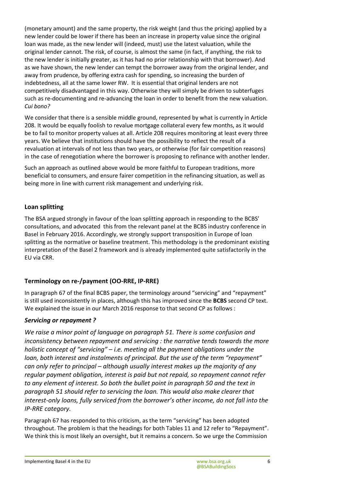(monetary amount) and the same property, the risk weight (and thus the pricing) applied by a new lender could be lower if there has been an increase in property value since the original loan was made, as the new lender will (indeed, must) use the latest valuation, while the original lender cannot. The risk, of course, is almost the same (in fact, if anything, the risk to the new lender is initially greater, as it has had no prior relationship with that borrower). And as we have shown, the new lender can tempt the borrower away from the original lender, and away from prudence, by offering extra cash for spending, so increasing the burden of indebtedness, all at the same lower RW. It is essential that original lenders are not competitively disadvantaged in this way. Otherwise they will simply be driven to subterfuges such as re-documenting and re-advancing the loan in order to benefit from the new valuation. *Cui bono?*

We consider that there is a sensible middle ground, represented by what is currently in Article 208. It would be equally foolish to revalue mortgage collateral every few months, as it would be to fail to monitor property values at all. Article 208 requires monitoring at least every three years. We believe that institutions should have the possibility to reflect the result of a revaluation at intervals of not less than two years, or otherwise (for fair competition reasons) in the case of renegotiation where the borrower is proposing to refinance with another lender.

Such an approach as outlined above would be more faithful to European traditions, more beneficial to consumers, and ensure fairer competition in the refinancing situation, as well as being more in line with current risk management and underlying risk.

#### **Loan splitting**

The BSA argued strongly in favour of the loan splitting approach in responding to the BCBS' consultations, and advocated this from the relevant panel at the BCBS industry conference in Basel in February 2016. Accordingly, we strongly support transposition in Europe of loan splitting as the normative or baseline treatment. This methodology is the predominant existing interpretation of the Basel 2 framework and is already implemented quite satisfactorily in the EU via CRR.

#### **Terminology on re-/payment (OO-RRE, IP-RRE)**

In paragraph 67 of the final BCBS paper, the terminology around "servicing" and "repayment" is still used inconsistently in places, although this has improved since the **BCBS** second CP text. We explained the issue in our March 2016 response to that second CP as follows :

#### *Servicing or repayment ?*

*We raise a minor point of language on paragraph 51. There is some confusion and inconsistency between repayment and servicing : the narrative tends towards the more holistic concept of "servicing" – i.e. meeting all the payment obligations under the loan, both interest and instalments of principal. But the use of the term "repayment" can only refer to principal – although usually interest makes up the majority of any regular payment obligation, interest is paid but not repaid, so repayment cannot refer to any element of interest. So both the bullet point in paragraph 50 and the text in paragraph 51 should refer to servicing the loan. This would also make clearer that interest-only loans, fully serviced from the borrower's other income, do not fall into the IP-RRE category.* 

Paragraph 67 has responded to this criticism, as the term "servicing" has been adopted throughout. The problem is that the headings for both Tables 11 and 12 refer to "Repayment". We think this is most likely an oversight, but it remains a concern. So we urge the Commission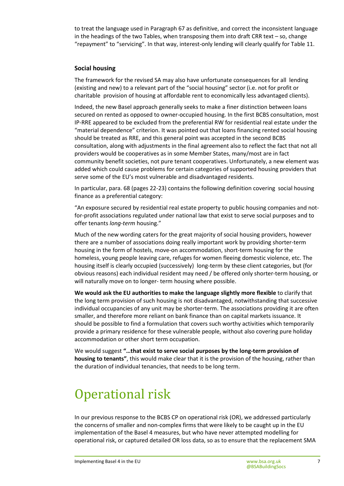to treat the language used in Paragraph 67 as definitive, and correct the inconsistent language in the headings of the two Tables, when transposing them into draft CRR text – so, change "repayment" to "servicing". In that way, interest-only lending will clearly qualify for Table 11.

#### **Social housing**

The framework for the revised SA may also have unfortunate consequences for all lending (existing and new) to a relevant part of the "social housing" sector (i.e. not for profit or charitable provision of housing at affordable rent to economically less advantaged clients).

Indeed, the new Basel approach generally seeks to make a finer distinction between loans secured on rented as opposed to owner-occupied housing. In the first BCBS consultation, most IP-RRE appeared to be excluded from the preferential RW for residential real estate under the "material dependence" criterion. It was pointed out that loans financing rented social housing should be treated as RRE, and this general point was accepted in the second BCBS consultation, along with adjustments in the final agreement also to reflect the fact that not all providers would be cooperatives as in some Member States, many/most are in fact community benefit societies, not pure tenant cooperatives. Unfortunately, a new element was added which could cause problems for certain categories of supported housing providers that serve some of the EU's most vulnerable and disadvantaged residents.

In particular, para. 68 (pages 22-23) contains the following definition covering social housing finance as a preferential category:

"An exposure secured by residential real estate property to public housing companies and notfor-profit associations regulated under national law that exist to serve social purposes and to offer tenants *long-term* housing."

Much of the new wording caters for the great majority of social housing providers, however there are a number of associations doing really important work by providing shorter-term housing in the form of hostels, move-on accommodation, short-term housing for the homeless, young people leaving care, refuges for women fleeing domestic violence, etc. The housing itself is clearly occupied (successively) long-term by these client categories, but (for obvious reasons) each individual resident may need / be offered only shorter-term housing, or will naturally move on to longer- term housing where possible.

**We would ask the EU authorities to make the language slightly more flexible** to clarify that the long term provision of such housing is not disadvantaged, notwithstanding that successive individual occupancies of any unit may be shorter-term. The associations providing it are often smaller, and therefore more reliant on bank finance than on capital markets issuance. It should be possible to find a formulation that covers such worthy activities which temporarily provide a primary residence for these vulnerable people, without also covering pure holiday accommodation or other short term occupation.

We would suggest **"…that exist to serve social purposes by the long-term provision of housing to tenants"**, this would make clear that it is the provision of the housing, rather than the duration of individual tenancies, that needs to be long term.

# Operational risk

In our previous response to the BCBS CP on operational risk (OR), we addressed particularly the concerns of smaller and non-complex firms that were likely to be caught up in the EU implementation of the Basel 4 measures, but who have never attempted modelling for operational risk, or captured detailed OR loss data, so as to ensure that the replacement SMA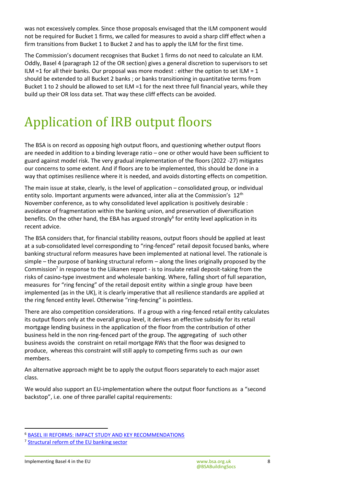was not excessively complex. Since those proposals envisaged that the ILM component would not be required for Bucket 1 firms, we called for measures to avoid a sharp cliff effect when a firm transitions from Bucket 1 to Bucket 2 and has to apply the ILM for the first time.

The Commission's document recognises that Bucket 1 firms do not need to calculate an ILM. Oddly, Basel 4 (paragraph 12 of the OR section) gives a general discretion to supervisors to set ILM =1 for all their banks. Our proposal was more modest : either the option to set ILM =  $1$ should be extended to all Bucket 2 banks ; or banks transitioning in quantitative terms from Bucket 1 to 2 should be allowed to set ILM =1 for the next three full financial years, while they build up their OR loss data set. That way these cliff effects can be avoided.

# Application of IRB output floors

The BSA is on record as opposing high output floors, and questioning whether output floors are needed in addition to a binding leverage ratio – one or other would have been sufficient to guard against model risk. The very gradual implementation of the floors (2022 -27) mitigates our concerns to some extent. And if floors are to be implemented, this should be done in a way that optimises resilience where it is needed, and avoids distorting effects on competition.

The main issue at stake, clearly, is the level of application – consolidated group, or individual entity solo. Important arguments were advanced, inter alia at the Commission's 12<sup>th</sup> November conference, as to why consolidated level application is positively desirable : avoidance of fragmentation within the banking union, and preservation of diversification benefits. On the other hand, the EBA has argued strongly<sup>6</sup> for entity level application in its recent advice.

The BSA considers that, for financial stability reasons, output floors should be applied at least at a sub-consolidated level corresponding to "ring-fenced" retail deposit focused banks, where banking structural reform measures have been implemented at national level. The rationale is simple – the purpose of banking structural reform – along the lines originally proposed by the Commission<sup>7</sup> in response to the Liikanen report - is to insulate retail deposit-taking from the risks of casino-type investment and wholesale banking. Where, falling short of full separation, measures for "ring fencing" of the retail deposit entity within a single group have been implemented (as in the UK), it is clearly imperative that all resilience standards are applied at the ring fenced entity level. Otherwise "ring-fencing" is pointless.

There are also competition considerations. If a group with a ring-fenced retail entity calculates its output floors only at the overall group level, it derives an effective subsidy for its retail mortgage lending business in the application of the floor from the contribution of other business held in the non ring-fenced part of the group. The aggregating of such other business avoids the constraint on retail mortgage RWs that the floor was designed to produce, whereas this constraint will still apply to competing firms such as our own members.

An alternative approach might be to apply the output floors separately to each major asset class.

We would also support an EU-implementation where the output floor functions as a "second backstop", i.e. one of three parallel capital requirements:

l

<sup>6</sup> [BASEL III REFORMS: IMPACT STUDY AND KEY RECOMMENDATIONS](https://eba.europa.eu/sites/default/documents/files/documents/10180/2886865/62e63ce7-2e78-445e-be66-5afacf54c7b7/Basel%20III%20reforms%20-%20Impact%20study%20and%20key%20reccomendations.pdf?retry=1)

<sup>&</sup>lt;sup>7</sup> [Structural reform of the EU banking sector](https://ec.europa.eu/info/business-economy-euro/banking-and-finance/financial-supervision-and-risk-management/managing-risks-banks-and-financial-institutions/structural-reform-eu-banking-sector_en)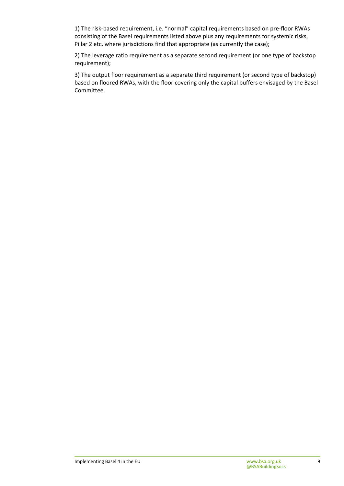1) The risk-based requirement, i.e. "normal" capital requirements based on pre-floor RWAs consisting of the Basel requirements listed above plus any requirements for systemic risks, Pillar 2 etc. where jurisdictions find that appropriate (as currently the case);

2) The leverage ratio requirement as a separate second requirement (or one type of backstop requirement);

3) The output floor requirement as a separate third requirement (or second type of backstop) based on floored RWAs, with the floor covering only the capital buffers envisaged by the Basel Committee.